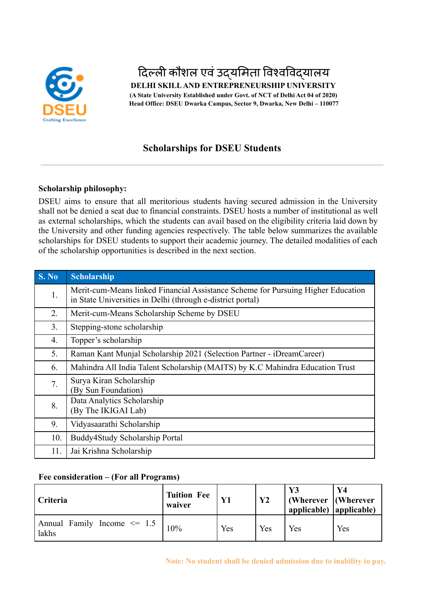

# दिल्ली कौशल एवं उद्यमिता विश्वविद्यालय

**DELHI SKILLAND ENTREPRENEURSHIP UNIVERSITY (A State University Established under Govt. of NCT of Delhi Act 04 of 2020) Head Office: DSEU Dwarka Campus, Sector 9, Dwarka, New Delhi – 110077**

# **Scholarships for DSEU Students**

## **Scholarship philosophy:**

DSEU aims to ensure that all meritorious students having secured admission in the University shall not be denied a seat due to financial constraints. DSEU hosts a number of institutional as well as external scholarships, which the students can avail based on the eligibility criteria laid down by the University and other funding agencies respectively. The table below summarizes the available scholarships for DSEU students to support their academic journey. The detailed modalities of each of the scholarship opportunities is described in the next section.

| S. No | Scholarship                                                                                                                                    |
|-------|------------------------------------------------------------------------------------------------------------------------------------------------|
| 1.    | Merit-cum-Means linked Financial Assistance Scheme for Pursuing Higher Education<br>in State Universities in Delhi (through e-district portal) |
| 2.    | Merit-cum-Means Scholarship Scheme by DSEU                                                                                                     |
| 3.    | Stepping-stone scholarship                                                                                                                     |
| 4.    | Topper's scholarship                                                                                                                           |
| 5.    | Raman Kant Munjal Scholarship 2021 (Selection Partner - iDreamCareer)                                                                          |
| 6.    | Mahindra All India Talent Scholarship (MAITS) by K.C Mahindra Education Trust                                                                  |
| 7.    | Surya Kiran Scholarship<br>(By Sun Foundation)                                                                                                 |
| 8.    | Data Analytics Scholarship<br>(By The IKIGAI Lab)                                                                                              |
| 9.    | Vidyasaarathi Scholarship                                                                                                                      |
| 10.   | Buddy4Study Scholarship Portal                                                                                                                 |
| 11.   | Jai Krishna Scholarship                                                                                                                        |

## **Fee consideration – (For all Programs)**

| Criteria                                 | <b>Tuition Fee</b><br>waiver |     | $\mathbf{Y2}$ | Y3<br>(Wherever $\vert$ (Wherever<br>applicable) $ $ applicable) | Y4  |
|------------------------------------------|------------------------------|-----|---------------|------------------------------------------------------------------|-----|
| Annual Family Income $\leq 1.5$<br>lakhs | 10%                          | Yes | Yes           | Yes                                                              | Yes |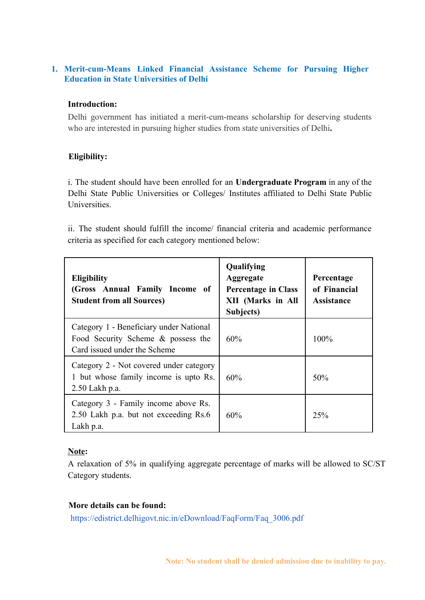## **1. Merit-cum-Means Linked Financial Assistance Scheme for Pursuing Higher Education in State Universities of Delhi**

## **Introduction:**

Delhi government has initiated a merit-cum-means scholarship for deserving students who are interested in pursuing higher studies from state universities of Delhi**.**

## **Eligibility:**

i. The student should have been enrolled for an **Undergraduate Program** in any of the Delhi State Public Universities or Colleges/ Institutes affiliated to Delhi State Public **Universities** 

ii. The student should fulfill the income/ financial criteria and academic performance criteria as specified for each category mentioned below:

| <b>Eligibility</b><br>(Gross Annual Family Income of<br><b>Student from all Sources)</b>                      | Qualifying<br>Aggregate<br><b>Percentage in Class</b><br><b>XII</b> (Marks in All<br>Subjects) | Percentage<br>of Financial<br><b>Assistance</b> |
|---------------------------------------------------------------------------------------------------------------|------------------------------------------------------------------------------------------------|-------------------------------------------------|
| Category 1 - Beneficiary under National<br>Food Security Scheme & possess the<br>Card issued under the Scheme | 60%                                                                                            | 100%                                            |
| Category 2 - Not covered under category<br>1 but whose family income is upto Rs.<br>2.50 Lakh p.a.            | 60%                                                                                            | 50%                                             |
| Category 3 - Family income above Rs.<br>2.50 Lakh p.a. but not exceeding Rs.6<br>Lakh p.a.                    | 60%                                                                                            | 25%                                             |

## **Note:**

A relaxation of 5% in qualifying aggregate percentage of marks will be allowed to SC/ST Category students.

## **More details can be found:**

[https://edistrict.delhigovt.nic.in/eDownload/FaqForm/Faq\\_3006.pdf](https://edistrict.delhigovt.nic.in/eDownload/FaqForm/Faq_3006.pdf)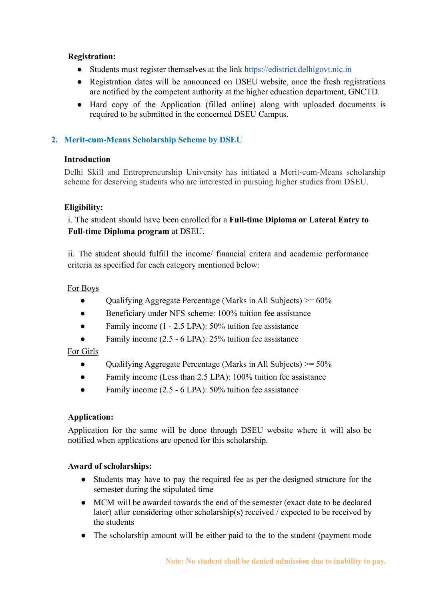## **Registration:**

- Students must register themselves at the link [https://edistrict.delhigovt.nic.in](https://edistrict.delhigovt.nic.in/)
- Registration dates will be announced on DSEU website, once the fresh registrations are notified by the competent authority at the higher education department, GNCTD.
- Hard copy of the Application (filled online) along with uploaded documents is required to be submitted in the concerned DSEU Campus.

# **2. Merit-cum-Means Scholarship Scheme by DSEU**

## **Introduction**

Delhi Skill and Entrepreneurship University has initiated a Merit-cum-Means scholarship scheme for deserving students who are interested in pursuing higher studies from DSEU.

# **Eligibility:**

i. The student should have been enrolled for a **Full-time Diploma or Lateral Entry to Full-time Diploma program** at DSEU.

ii. The student should fulfill the income/ financial critera and academic performance criteria as specified for each category mentioned below:

## For Boys

- Oualifying Aggregate Percentage (Marks in All Subjects)  $> = 60\%$
- Beneficiary under NFS scheme: 100% tuition fee assistance
- Family income (1 2.5 LPA): 50% tuition fee assistance
- Family income (2.5 6 LPA): 25% tuition fee assistance

## For Girls

- Qualifying Aggregate Percentage (Marks in All Subjects)  $> = 50\%$
- Family income (Less than 2.5 LPA): 100% tuition fee assistance
- Family income (2.5 6 LPA): 50% tuition fee assistance

## **Application:**

Application for the same will be done through DSEU website where it will also be notified when applications are opened for this scholarship.

## **Award of scholarships:**

- Students may have to pay the required fee as per the designed structure for the semester during the stipulated time
- MCM will be awarded towards the end of the semester (exact date to be declared later) after considering other scholarship(s) received / expected to be received by the students
- The scholarship amount will be either paid to the to the student (payment mode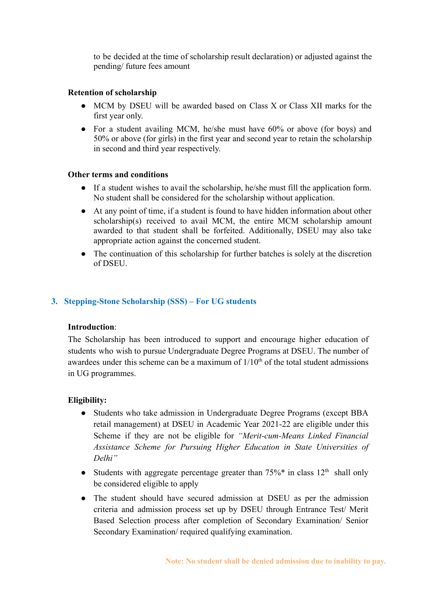to be decided at the time of scholarship result declaration) or adjusted against the pending/ future fees amount

## **Retention of scholarship**

- MCM by DSEU will be awarded based on Class X or Class XII marks for the first year only.
- For a student availing MCM, he/she must have 60% or above (for boys) and 50% or above (for girls) in the first year and second year to retain the scholarship in second and third year respectively.

## **Other terms and conditions**

- If a student wishes to avail the scholarship, he/she must fill the application form. No student shall be considered for the scholarship without application.
- At any point of time, if a student is found to have hidden information about other scholarship(s) received to avail MCM, the entire MCM scholarship amount awarded to that student shall be forfeited. Additionally, DSEU may also take appropriate action against the concerned student.
- The continuation of this scholarship for further batches is solely at the discretion of DSEU.

## **3. Stepping-Stone Scholarship (SSS) – For UG students**

#### **Introduction**:

The Scholarship has been introduced to support and encourage higher education of students who wish to pursue Undergraduate Degree Programs at DSEU. The number of awardees under this scheme can be a maximum of  $1/10<sup>th</sup>$  of the total student admissions in UG programmes.

## **Eligibility:**

- Students who take admission in Undergraduate Degree Programs (except BBA retail management) at DSEU in Academic Year 2021-22 are eligible under this Scheme if they are not be eligible for *"Merit-cum-Means Linked Financial Assistance Scheme for Pursuing Higher Education in State Universities of Delhi"*
- Students with aggregate percentage greater than  $75\%$ <sup>\*</sup> in class  $12<sup>th</sup>$  shall only be considered eligible to apply
- The student should have secured admission at DSEU as per the admission criteria and admission process set up by DSEU through Entrance Test/ Merit Based Selection process after completion of Secondary Examination/ Senior Secondary Examination/ required qualifying examination.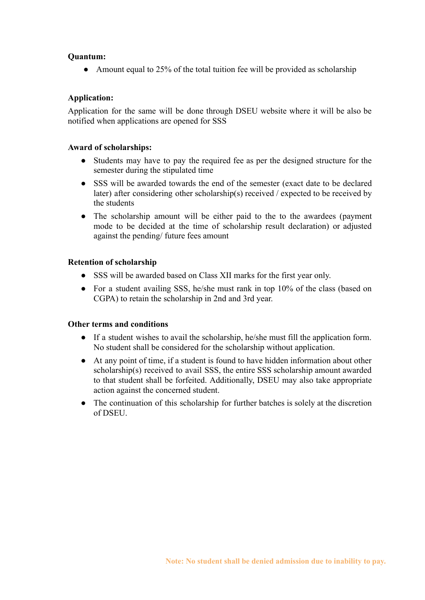## **Quantum:**

• Amount equal to 25% of the total tuition fee will be provided as scholarship

## **Application:**

Application for the same will be done through DSEU website where it will be also be notified when applications are opened for SSS

## **Award of scholarships:**

- Students may have to pay the required fee as per the designed structure for the semester during the stipulated time
- SSS will be awarded towards the end of the semester (exact date to be declared later) after considering other scholarship(s) received / expected to be received by the students
- The scholarship amount will be either paid to the to the awardees (payment mode to be decided at the time of scholarship result declaration) or adjusted against the pending/ future fees amount

## **Retention of scholarship**

- SSS will be awarded based on Class XII marks for the first year only.
- For a student availing SSS, he/she must rank in top 10% of the class (based on CGPA) to retain the scholarship in 2nd and 3rd year.

## **Other terms and conditions**

- If a student wishes to avail the scholarship, he/she must fill the application form. No student shall be considered for the scholarship without application.
- At any point of time, if a student is found to have hidden information about other scholarship(s) received to avail SSS, the entire SSS scholarship amount awarded to that student shall be forfeited. Additionally, DSEU may also take appropriate action against the concerned student.
- The continuation of this scholarship for further batches is solely at the discretion of DSEU.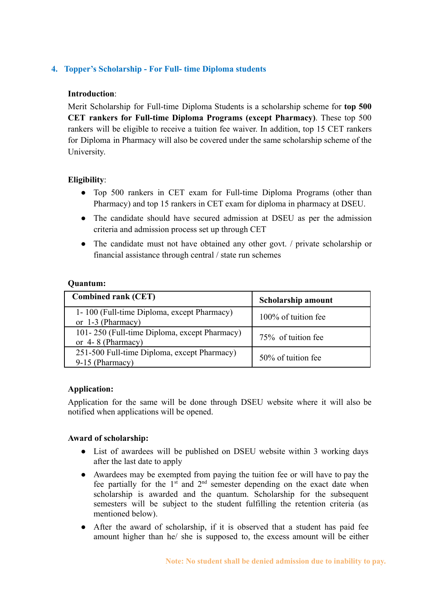# **4. Topper's Scholarship - For Full- time Diploma students**

## **Introduction**:

Merit Scholarship for Full-time Diploma Students is a scholarship scheme for **top 500 CET rankers for Full-time Diploma Programs (except Pharmacy)**. These top 500 rankers will be eligible to receive a tuition fee waiver. In addition, top 15 CET rankers for Diploma in Pharmacy will also be covered under the same scholarship scheme of the University.

## **Eligibility**:

- Top 500 rankers in CET exam for Full-time Diploma Programs (other than Pharmacy) and top 15 rankers in CET exam for diploma in pharmacy at DSEU.
- The candidate should have secured admission at DSEU as per the admission criteria and admission process set up through CET
- The candidate must not have obtained any other govt. / private scholarship or financial assistance through central / state run schemes

## **Quantum:**

| <b>Combined rank (CET)</b>                                          | <b>Scholarship amount</b> |
|---------------------------------------------------------------------|---------------------------|
| 1-100 (Full-time Diploma, except Pharmacy)<br>or $1-3$ (Pharmacy)   | 100% of tuition fee       |
| 101-250 (Full-time Diploma, except Pharmacy)<br>or $4-8$ (Pharmacy) | 75% of tuition fee        |
| 251-500 Full-time Diploma, except Pharmacy)<br>$9-15$ (Pharmacy)    | 50% of tuition fee        |

#### **Application:**

Application for the same will be done through DSEU website where it will also be notified when applications will be opened.

#### **Award of scholarship:**

- List of awardees will be published on DSEU website within 3 working days after the last date to apply
- Awardees may be exempted from paying the tuition fee or will have to pay the fee partially for the  $1<sup>st</sup>$  and  $2<sup>nd</sup>$  semester depending on the exact date when scholarship is awarded and the quantum. Scholarship for the subsequent semesters will be subject to the student fulfilling the retention criteria (as mentioned below).
- After the award of scholarship, if it is observed that a student has paid fee amount higher than he/ she is supposed to, the excess amount will be either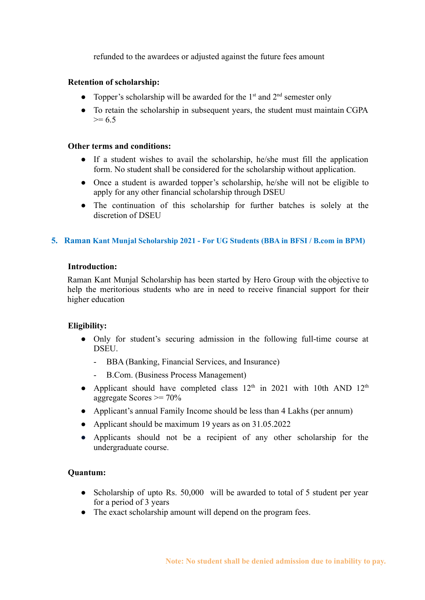refunded to the awardees or adjusted against the future fees amount

## **Retention of scholarship:**

- Topper's scholarship will be awarded for the  $1<sup>st</sup>$  and  $2<sup>nd</sup>$  semester only
- To retain the scholarship in subsequent years, the student must maintain CGPA  $>= 6.5$

#### **Other terms and conditions:**

- If a student wishes to avail the scholarship, he/she must fill the application form. No student shall be considered for the scholarship without application.
- Once a student is awarded topper's scholarship, he/she will not be eligible to apply for any other financial scholarship through DSEU
- The continuation of this scholarship for further batches is solely at the discretion of DSEU

#### **5. Raman Kant Munjal Scholarship 2021 - For UG Students (BBA in BFSI / B.com in BPM)**

#### **Introduction:**

Raman Kant Munjal Scholarship has been started by Hero Group with the objective to help the meritorious students who are in need to receive financial support for their higher education

#### **Eligibility:**

- Only for student's securing admission in the following full-time course at DSEU.
	- BBA (Banking, Financial Services, and Insurance)
	- B.Com. (Business Process Management)
- Applicant should have completed class  $12<sup>th</sup>$  in 2021 with 10th AND  $12<sup>th</sup>$ aggregate Scores  $\geq$  70%
- Applicant's annual Family Income should be less than 4 Lakhs (per annum)
- Applicant should be maximum 19 years as on 31.05.2022
- Applicants should not be a recipient of any other scholarship for the undergraduate course.

#### **Quantum:**

- Scholarship of upto Rs. 50,000 will be awarded to total of 5 student per year for a period of 3 years
- The exact scholarship amount will depend on the program fees.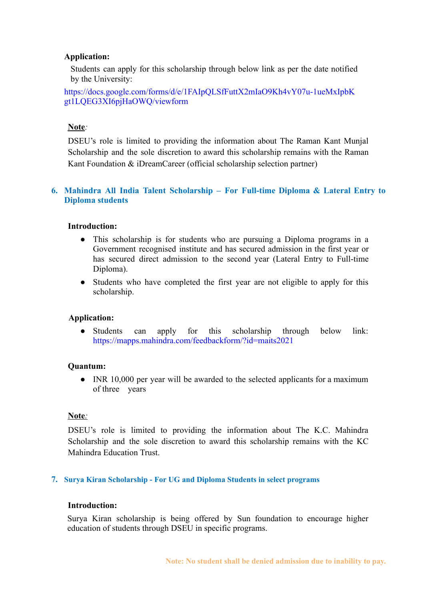#### **Application:**

Students can apply for this scholarship through below link as per the date notified by the University:

[https://docs.google.com/forms/d/e/1FAIpQLSfFuttX2mIaO9Kh4vY07u-1ueMxIpbK](https://docs.google.com/forms/d/e/1FAIpQLSfFuttX2mIaO9Kh4vY07u-1ueMxIpbKgt1LQEG3XI6pjHaOWQ/viewform) [gt1LQEG3XI6pjHaOWQ/viewform](https://docs.google.com/forms/d/e/1FAIpQLSfFuttX2mIaO9Kh4vY07u-1ueMxIpbKgt1LQEG3XI6pjHaOWQ/viewform)

#### **Note***:*

DSEU's role is limited to providing the information about The Raman Kant Munjal Scholarship and the sole discretion to award this scholarship remains with the Raman Kant Foundation & iDreamCareer (official scholarship selection partner)

## **6. Mahindra All India Talent Scholarship – For Full-time Diploma & Lateral Entry to Diploma students**

## **Introduction:**

- This scholarship is for students who are pursuing a Diploma programs in a Government recognised institute and has secured admission in the first year or has secured direct admission to the second year (Lateral Entry to Full-time Diploma).
- Students who have completed the first year are not eligible to apply for this scholarship.

#### **Application:**

● Students can apply for this scholarship through below link: <https://mapps.mahindra.com/feedbackform/?id=maits2021>

#### **Quantum:**

• INR 10,000 per year will be awarded to the selected applicants for a maximum of three years

#### **Note***:*

DSEU's role is limited to providing the information about The K.C. Mahindra Scholarship and the sole discretion to award this scholarship remains with the KC Mahindra Education Trust.

#### **7. Surya Kiran Scholarship - For UG and Diploma Students in select programs**

#### **Introduction:**

Surya Kiran scholarship is being offered by Sun foundation to encourage higher education of students through DSEU in specific programs.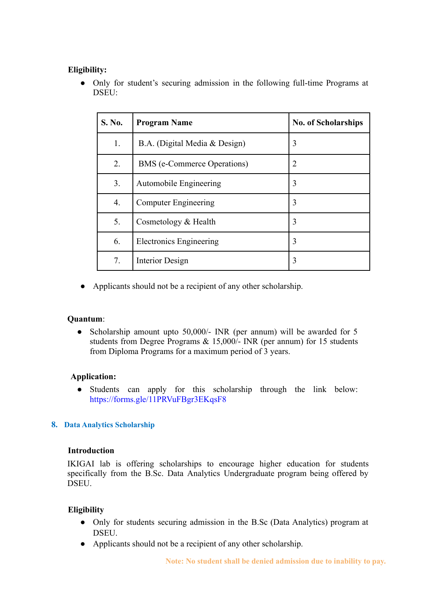## **Eligibility:**

● Only for student's securing admission in the following full-time Programs at DSEU:

| S. No. | <b>Program Name</b>            | <b>No. of Scholarships</b> |  |
|--------|--------------------------------|----------------------------|--|
| 1.     | B.A. (Digital Media & Design)  | 3                          |  |
| 2.     | BMS (e-Commerce Operations)    | $\overline{2}$             |  |
| 3.     | Automobile Engineering         | 3                          |  |
| 4.     | <b>Computer Engineering</b>    | 3                          |  |
| 5.     | Cosmetology & Health           | 3                          |  |
| 6.     | <b>Electronics Engineering</b> | 3                          |  |
| 7.     | Interior Design                | 3                          |  |

● Applicants should not be a recipient of any other scholarship.

## **Quantum**:

• Scholarship amount upto 50,000/- INR (per annum) will be awarded for 5 students from Degree Programs & 15,000/- INR (per annum) for 15 students from Diploma Programs for a maximum period of 3 years.

## **Application:**

**●** Students can apply for this scholarship through the link below: <https://forms.gle/11PRVuFBgr3EKqsF8>

# **8. Data Analytics Scholarship**

## **Introduction**

IKIGAI lab is offering scholarships to encourage higher education for students specifically from the B.Sc. Data Analytics Undergraduate program being offered by DSEU.

# **Eligibility**

- **●** Only for students securing admission in the B.Sc (Data Analytics) program at DSEU.
- Applicants should not be a recipient of any other scholarship.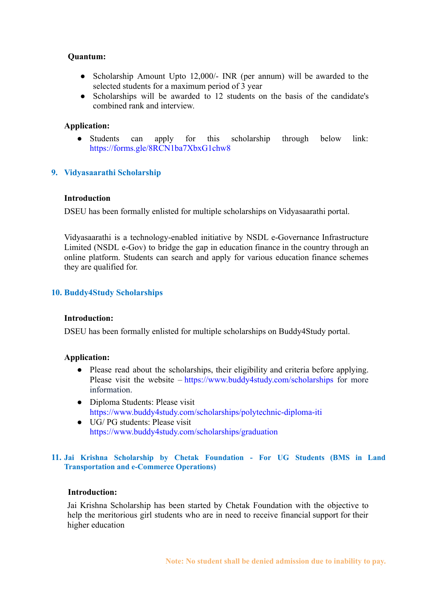#### **Quantum:**

- Scholarship Amount Upto 12,000/- INR (per annum) will be awarded to the selected students for a maximum period of 3 year
- Scholarships will be awarded to 12 students on the basis of the candidate's combined rank and interview.

#### **Application:**

Students can apply for this scholarship through below link: [https://forms.gle/8RCN1ba7XbxG1chw8](https://forms.gle/8RCN1ba7XbxG1chw)

## **9. Vidyasaarathi Scholarship**

#### **Introduction**

DSEU has been formally enlisted for multiple scholarships on Vidyasaarathi portal.

Vidyasaarathi is a technology-enabled initiative by NSDL e-Governance Infrastructure Limited (NSDL e-Gov) to bridge the gap in education finance in the country through an online platform. Students can search and apply for various education finance schemes they are qualified for.

## **10. Buddy4Study Scholarships**

#### **Introduction:**

DSEU has been formally enlisted for multiple scholarships on Buddy4Study portal.

#### **Application:**

- **●** Please read about the scholarships, their eligibility and criteria before applying. Please visit the website – <https://www.buddy4study.com/scholarships> for more information.
- Diploma Students: Please visit <https://www.buddy4study.com/scholarships/polytechnic-diploma-iti>
- UG/ PG students: Please visit <https://www.buddy4study.com/scholarships/graduation>

#### **11. Jai Krishna Scholarship by Chetak Foundation - For UG Students (BMS in Land Transportation and e-Commerce Operations)**

#### **Introduction:**

Jai Krishna Scholarship has been started by Chetak Foundation with the objective to help the meritorious girl students who are in need to receive financial support for their higher education